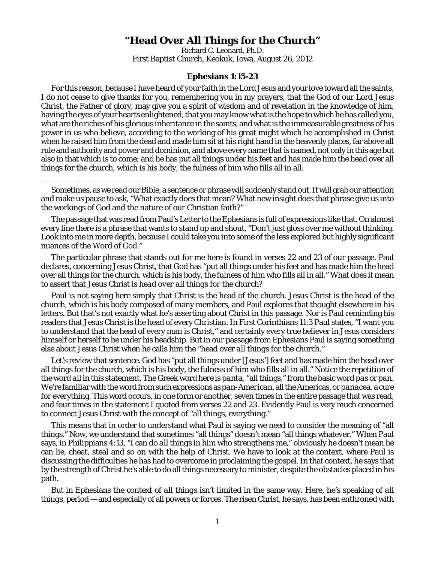## **"Head Over All Things for the Church"**

Richard C. Leonard, Ph.D. First Baptist Church, Keokuk, Iowa, August 26, 2012

## **Ephesians 1:15-23**

For this reason, because I have heard of your faith in the Lord Jesus and your love toward all the saints, I do not cease to give thanks for you, remembering you in my prayers, that the God of our Lord Jesus Christ, the Father of glory, may give you a spirit of wisdom and of revelation in the knowledge of him, having the eyes of your hearts enlightened, that you may know what is the hope to which he has called you, what are the riches of his glorious inheritance in the saints, and what is the immeasurable greatness of his power in us who believe, according to the working of his great might which he accomplished in Christ when he raised him from the dead and made him sit at his right hand in the heavenly places, far above all rule and authority and power and dominion, and above every name that is named, not only in this age but also in that which is to come; and he has put all things under his feet and has made him the head over all things for the church, which is his body, the fulness of him who fills all in all.

Sometimes, as we read our Bible, a sentence or phrase will suddenly stand out. It will grab our attention and make us pause to ask, "What exactly does that mean? What new insight does that phrase give us into the workings of God and the nature of our Christian faith?"

\_\_\_\_\_\_\_\_\_\_\_\_\_\_\_\_\_\_\_\_\_\_\_\_\_\_\_\_\_\_\_\_\_\_\_\_\_\_\_\_

The passage that was read from Paul's Letter to the Ephesians is full of expressions like that. On almost every line there is a phrase that wants to stand up and shout, "Don't just gloss over me without thinking. Look into me in more depth, because I could take you into some of the less explored but highly significant nuances of the Word of God."

The particular phrase that stands out for me here is found in verses 22 and 23 of our passage. Paul declares, concerning Jesus Christ, that God has "put all things under his feet and has made him the head over all things for the church, which is his body, the fulness of him who fills all in all." What does it mean to assert that Jesus Christ is *head over all things for the church?*

Paul is not saying here simply that Christ is the head of the church. Jesus Christ *is* the head of the church, which is his body composed of many members, and Paul explores that thought elsewhere in his letters. But that's not exactly what he's asserting about Christ in this passage. Nor is Paul reminding his readers that Jesus Christ is the head of every Christian. In First Corinthians 11:3 Paul states, "I want you to understand that the head of every man is Christ," and certainly every true believer in Jesus considers himself or herself to be under his headship. But in our passage from Ephesians Paul is saying something else about Jesus Christ when he calls him the "head over *all things* for the church."

Let's review that sentence. God has "put all things under [Jesus'] feet and has made him the head over all things for the church, which is his body, the fulness of him who fills all in all." Notice the repetition of the word *all* in this statement. The Greek word here is *panta*, "all things," from the basic word *pas* or *pan*. We're familiar with the word from such expressions as *pan-American*, all the Americas, or *panacea*, a cure for everything. This word occurs, in one form or another, seven times in the entire passage that was read, and four times in the statement I quoted from verses 22 and 23. Evidently Paul is very much concerned to connect Jesus Christ with the concept of "all things, everything."

This means that in order to understand what Paul is saying we need to consider the meaning of "all things." Now, we understand that sometimes "all things" doesn't mean "all things whatever." When Paul says, in Philippians 4:13, "I can *do all things* in him who strengthens me," obviously he doesn't mean he can lie, cheat, steal and so on with the help of Christ. We have to look at the context, where Paul is discussing the difficulties he has had to overcome in proclaiming the gospel. In that context, he says that by the strength of Christ he's able to do all things necessary to minister, despite the obstacles placed in his path.

But in Ephesians the context of *all things* isn't limited in the same way. Here, he's speaking of *all things*, period — and especially of all powers or forces. The risen Christ, he says, has been enthroned with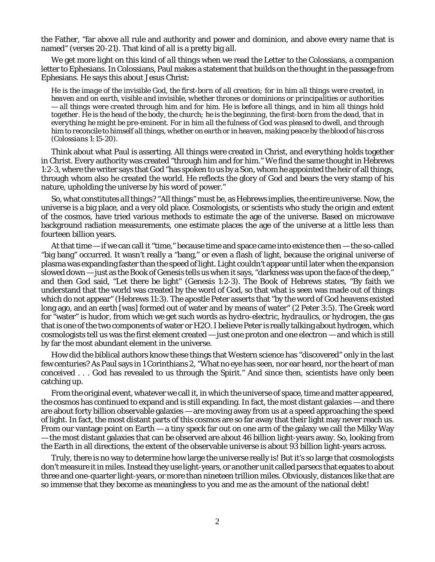the Father, "far above *all* rule and authority and power and dominion, and above every name that is named" (verses 20-21). That kind of *all* is a pretty big *all*.

We get more light on this kind of *all things* when we read the Letter to the Colossians, a companion letter to Ephesians. In Colossians, Paul makes a statement that builds on the thought in the passage from Ephesians. He says this about Jesus Christ:

*He is the image of the invisible God, the first-born of all creation; for in him all things were created, in heaven and on earth, visible and invisible, whether thrones or dominions or principalities or authorities — all things were created through him and for him. He is before all things, and in him all things hold together. He is the head of the body, the church; he is the beginning, the first-born from the dead, that in everything he might be pre-eminent. For in him all the fulness of God was pleased to dwell, and through him to reconcile to himself all things, whether on earth or in heaven, making peace by the blood of his cross (Colossians 1:15-20).*

Think about what Paul is asserting. *All things* were created in Christ, and *everything* holds together in Christ. Every authority was created "through him and for him." We find the same thought in Hebrews 1:2-3, where the writer says that God "has spoken to us by a Son, whom he appointed the heir of all things, through whom also he created the world. He reflects the glory of God and bears the very stamp of his nature, upholding the universe by his word of power."

So, what constitutes *all things?* "All things" must be, as Hebrews implies, the entire universe. Now, the universe is a big place, and a very old place. Cosmologists, or scientists who study the origin and extent of the *cosmos*, have tried various methods to estimate the age of the universe. Based on microwave background radiation measurements, one estimate places the age of the universe at a little less than fourteen billion years.

At that time — if we can call it "time," because time and space came into existence then — the so-called "big bang" occurred. It wasn't really a "bang," or even a flash of light, because the original universe of plasma was expanding faster than the speed of light. Light couldn't appear until later when the expansion slowed down — just as the Book of Genesis tells us when it says, "darkness was upon the face of the deep," and then God said, "Let there be light" (Genesis 1:2-3). The Book of Hebrews states, "By faith we understand that the world was created by the word of God, so that what is seen was made out of things which do not appear" (Hebrews 11:3). The apostle Peter asserts that "by the word of God heavens existed long ago, and an earth [was] formed out of water and by means of water" (2 Peter 3:5). The Greek word for "water" is *hudor*, from which we get such words as *hydro-electric, hydraulics,* or *hydrogen*, the gas that is one of the two components of water or H2O. I believe Peter is really talking about hydrogen, which cosmologists tell us was the first element created — just one proton and one electron — and which is still by far the most abundant element in the universe.

How did the biblical authors know these things that Western science has "discovered" only in the last few centuries? As Paul says in 1 Corinthians 2, "What no eye has seen, nor ear heard, nor the heart of man conceived . . . God has revealed to us through the Spirit." And since then, scientists have only been catching up.

From the original event, whatever we call it, in which the universe of space, time and matter appeared, the cosmos has continued to expand and is still expanding. In fact, the most distant galaxies — and there are about forty *billion* observable galaxies — are moving away from us at a speed approaching the speed of light. In fact, the most distant parts of this cosmos are so far away that their light may never reach us. From our vantage point on Earth — a tiny speck far out on one arm of the galaxy we call the Milky Way — the most distant galaxies that can be observed are about 46 billion light-years away. So, looking from the Earth in all directions, the extent of the observable universe is about 93 billion light-years across.

Truly, there is no way to determine how large the universe really is! But it's so large that cosmologists don't measure it in miles. Instead they use light-years, or another unit called parsecs that equates to about three and one-quarter light-years, or more than nineteen trillion miles. Obviously, distances like that are so immense that they become as meaningless to you and me as the amount of the national debt!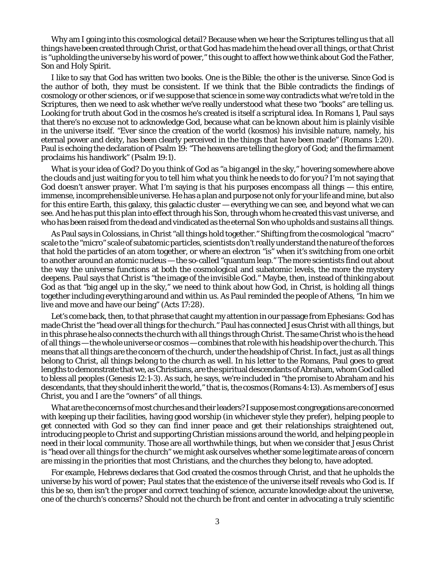Why am I going into this cosmological detail? Because when we hear the Scriptures telling us that *all things* have been created through Christ, or that God has made him the head over *all things*, or that Christ is "upholding the *universe* by his word of power," this ought to affect how we think about God the Father, Son and Holy Spirit.

I like to say that God has written *two* books. One is the Bible; the other is *the universe*. Since God is the author of both, they must be consistent. If we think that the Bible contradicts the findings of cosmology or other sciences, or if we suppose that science in some way contradicts what we're told in the Scriptures, then we need to ask whether we've really understood what these two "books" are telling us. Looking for truth about God in the cosmos he's created is itself a scriptural idea. In Romans 1, Paul says that there's no excuse not to acknowledge God, because what can be known about him is plainly visible in the universe itself. "Ever since the creation of the world (*kosmos*) his invisible nature, namely, his eternal power and deity, has been clearly perceived in the things that have been made" (Romans 1:20). Paul is echoing the declaration of Psalm 19: "The heavens are telling the glory of God; and the firmament proclaims his handiwork" (Psalm 19:1).

What is your idea of God? Do you think of God as "a big angel in the sky," hovering somewhere above the clouds and just waiting for you to tell him what you think he needs to do for you? I'm not saying that God doesn't answer prayer. What I'm saying is that his purposes encompass all things — this entire, immense, incomprehensible universe. He has a plan and purpose not only for your life and mine, but also for this entire Earth, this galaxy, this galactic cluster — everything we can see, and beyond what we can see. And he has put this plan into effect through his Son, through whom he created this vast universe, and who has been raised from the dead and vindicated as the eternal Son who upholds and sustains *all things*.

As Paul says in Colossians, in Christ "all things hold together." Shifting from the cosmological "macro" scale to the "micro" scale of subatomic particles, scientists don't really understand the nature of the forces that hold the particles of an atom together, or where an electron "is" when it's switching from one orbit to another around an atomic nucleus — the so-called "quantum leap." The more scientists find out about the way the universe functions at both the cosmological and subatomic levels, the more the mystery deepens. Paul says that Christ is "the image of the invisible God." Maybe, then, instead of thinking about God as that "big angel up in the sky," we need to think about how God, in Christ, is holding all things together including everything around and within us. As Paul reminded the people of Athens, "In him we live and move and have our being" (Acts 17:28).

Let's come back, then, to that phrase that caught my attention in our passage from Ephesians: God has made Christ the "head over all things *for the church*." Paul has connected Jesus Christ with *all things*, but in this phrase he also connects the church with *all things* through Christ. The same Christ who is the head of all things — the whole universe or cosmos — combines that role with his headship over the church. This means that *all things* are the concern of the church, under the headship of Christ. In fact, just as all things belong to Christ, all things belong to the church as well. In his letter to the Romans, Paul goes to great lengths to demonstrate that we, as Christians, are the spiritual descendants of Abraham, whom God called to bless all peoples (Genesis 12:1-3). As such, he says, we're included in "the promise to Abraham and his descendants, that they should inherit the world," that is, the *cosmos* (Romans 4:13). As members of Jesus Christ, you and I are the "owners" of *all things*.

What are the concerns of most churches and their leaders? I suppose most congregations are concerned with keeping up their facilities, having good worship (in whichever style they prefer), helping people to get connected with God so they can find inner peace and get their relationships straightened out, introducing people to Christ and supporting Christian missions around the world, and helping people in need in their local community. Those are all worthwhile things, but when we consider that Jesus Christ is "head over *all things* for the church" we might ask ourselves whether some legitimate areas of concern are missing in the priorities that most Christians, and the churches they belong to, have adopted.

For example, Hebrews declares that God created the cosmos through Christ, and that he upholds the universe by his word of power; Paul states that the existence of the universe itself reveals who God is. If this be so, then isn't the proper and correct teaching of *science,* accurate knowledge about the universe, one of the church's concerns? Should not the church be front and center in advocating a truly scientific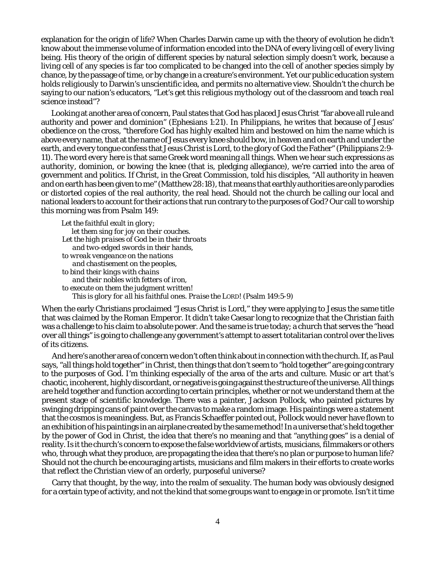explanation for the origin of life? When Charles Darwin came up with the theory of evolution he didn't know about the immense volume of information encoded into the DNA of every living cell of every living being. His theory of the origin of different species by natural selection simply doesn't work, because a living cell of any species is far too complicated to be changed into the cell of another species simply by chance, by the passage of time, or by change in a creature's environment. Yet our public education system holds *religiously* to Darwin's unscientific idea, and permits no alternative view. Shouldn't the church be saying to our nation's educators, "Let's get this *religious mythology* out of the classroom and teach *real science* instead"?

Looking at another area of concern, Paul states that God has placed Jesus Christ "far above all rule and authority and power and dominion" (Ephesians 1:21). In Philippians, he writes that because of Jesus' obedience on the cross, "therefore God has highly exalted him and bestowed on him the name which is above every name, that at the name of Jesus every knee should bow, in heaven and on earth and under the earth, and every tongue confess that Jesus Christ is Lord, to the glory of God the Father" (Philippians 2:9- 11). The word *every* here is that same Greek word meaning *all things*. When we hear such expressions as *authority*, *dominion*, or *bowing the knee* (that is, pledging allegiance), we're carried into the area of government and politics. If Christ, in the Great Commission, told his disciples, "All authority in heaven and on earth has been given to me" (Matthew 28:18), that means that earthly authorities are only parodies or distorted copies of the real authority, the real head. Should not the church be calling our local and national leaders to account for their actions that run contrary to the purposes of God? Our call to worship this morning was from Psalm 149:

*Let the faithful exult in glory; let them sing for joy on their couches. Let the high praises of God be in their throats and two-edged swords in their hands, to wreak vengeance on the nations and chastisement on the peoples, to bind their kings with chains and their nobles with fetters of iron, to execute on them the judgment written! This is glory for all his faithful ones. Praise the LORD!* (Psalm 149:5-9)

When the early Christians proclaimed "Jesus Christ is Lord," they were applying to Jesus the same title that was claimed by the Roman Emperor. It didn't take Caesar long to recognize that the Christian faith was a challenge to his claim to absolute power. And the same is true today; a church that serves the "head over all things" is going to challenge any government's attempt to assert totalitarian control over the lives of its citizens.

And here's another area of concern we don't often think about in connection with the church. If, as Paul says, "all things hold together" in Christ, then things that don't seem to "hold together" are going contrary to the purposes of God. I'm thinking especially of the area of the arts and culture. Music or art that's chaotic, incoherent, highly discordant, or negative is going against the structure of the universe. All things are held together and function according to certain principles, whether or not we understand them at the present stage of scientific knowledge. There was a painter, Jackson Pollock, who painted pictures by swinging dripping cans of paint over the canvas to make a random image. His paintings were a statement that the cosmos is meaningless. But, as Francis Schaeffer pointed out, Pollock would never have flown to an exhibition of his paintings in an airplane created by the same method! In a universe that's *held together* by the power of God in Christ, the idea that there's no meaning and that "anything goes" is a denial of reality. Is it the church's concern to expose the false worldview of artists, musicians, filmmakers or others who, through what they produce, are propagating the idea that there's no plan or purpose to human life? Should not the church be encouraging artists, musicians and film makers in their efforts to create works that reflect the Christian view of an orderly, purposeful universe?

Carry that thought, by the way, into the realm of sexuality. The human body was obviously designed for a certain type of activity, and not the kind that some groups want to engage in or promote. Isn't it time